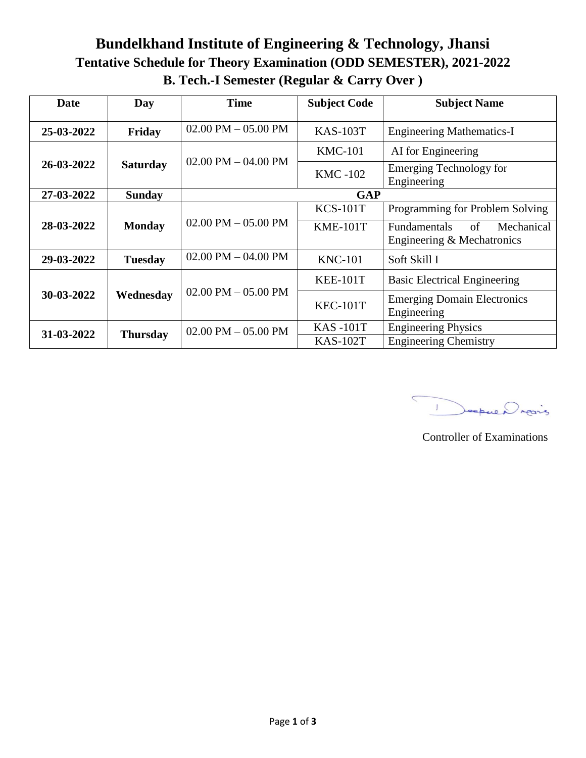# **Bundelkhand Institute of Engineering & Technology, Jhansi Tentative Schedule for Theory Examination (ODD SEMESTER), 2021-2022 B. Tech.-I Semester (Regular & Carry Over )**

| Date       | Day             | <b>Time</b>             | <b>Subject Code</b> | <b>Subject Name</b>                                                   |
|------------|-----------------|-------------------------|---------------------|-----------------------------------------------------------------------|
|            |                 |                         |                     |                                                                       |
| 25-03-2022 | Friday          | $02.00$ PM $- 05.00$ PM | <b>KAS-103T</b>     | <b>Engineering Mathematics-I</b>                                      |
| 26-03-2022 | <b>Saturday</b> | $02.00$ PM $- 04.00$ PM | <b>KMC-101</b>      | AI for Engineering                                                    |
|            |                 |                         | <b>KMC-102</b>      | <b>Emerging Technology for</b><br>Engineering                         |
| 27-03-2022 | <b>Sunday</b>   | <b>GAP</b>              |                     |                                                                       |
|            |                 |                         | <b>KCS-101T</b>     | Programming for Problem Solving                                       |
| 28-03-2022 | <b>Monday</b>   | $02.00$ PM $- 05.00$ PM | <b>KME-101T</b>     | Mechanical<br>of<br><b>Fundamentals</b><br>Engineering & Mechatronics |
| 29-03-2022 | <b>Tuesday</b>  | $02.00$ PM $- 04.00$ PM | <b>KNC-101</b>      | Soft Skill I                                                          |
|            |                 |                         | <b>KEE-101T</b>     | <b>Basic Electrical Engineering</b>                                   |
| 30-03-2022 | Wednesday       | $02.00$ PM $- 05.00$ PM | <b>KEC-101T</b>     | <b>Emerging Domain Electronics</b><br>Engineering                     |
|            |                 | $02.00$ PM $- 05.00$ PM | <b>KAS-101T</b>     | <b>Engineering Physics</b>                                            |
| 31-03-2022 | <b>Thursday</b> |                         | <b>KAS-102T</b>     | <b>Engineering Chemistry</b>                                          |

Jeopue Drains  $\mathbf{I}$ 

Controller of Examinations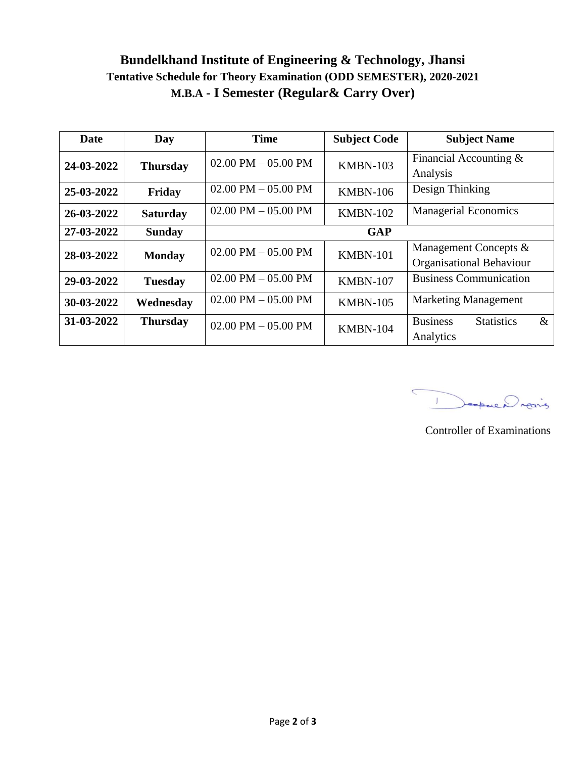## **Bundelkhand Institute of Engineering & Technology, Jhansi Tentative Schedule for Theory Examination (ODD SEMESTER), 2020-2021 M.B.A - I Semester (Regular& Carry Over)**

| Date       | Day             | <b>Time</b>                           | <b>Subject Code</b> | <b>Subject Name</b>                                       |
|------------|-----------------|---------------------------------------|---------------------|-----------------------------------------------------------|
| 24-03-2022 | <b>Thursday</b> | $02.00$ PM $- 05.00$ PM               | <b>KMBN-103</b>     | Financial Accounting $&$<br>Analysis                      |
| 25-03-2022 | Friday          | $02.00$ PM $- 05.00$ PM               | <b>KMBN-106</b>     | Design Thinking                                           |
| 26-03-2022 | <b>Saturday</b> | $02.00 \text{ PM} - 05.00 \text{ PM}$ | <b>KMBN-102</b>     | <b>Managerial Economics</b>                               |
| 27-03-2022 | <b>Sunday</b>   |                                       | <b>GAP</b>          |                                                           |
| 28-03-2022 | <b>Monday</b>   | $02.00$ PM $- 05.00$ PM               | <b>KMBN-101</b>     | Management Concepts &<br>Organisational Behaviour         |
| 29-03-2022 | <b>Tuesday</b>  | $02.00 \text{ PM} - 05.00 \text{ PM}$ | <b>KMBN-107</b>     | <b>Business Communication</b>                             |
| 30-03-2022 | Wednesday       | $02.00 \text{ PM} - 05.00 \text{ PM}$ | <b>KMBN-105</b>     | <b>Marketing Management</b>                               |
| 31-03-2022 | <b>Thursday</b> | 02.00 PM $-$ 05.00 PM                 | <b>KMBN-104</b>     | <b>Business</b><br><b>Statistics</b><br>$\&$<br>Analytics |

 $\subset$ Deepure Drains

Controller of Examinations